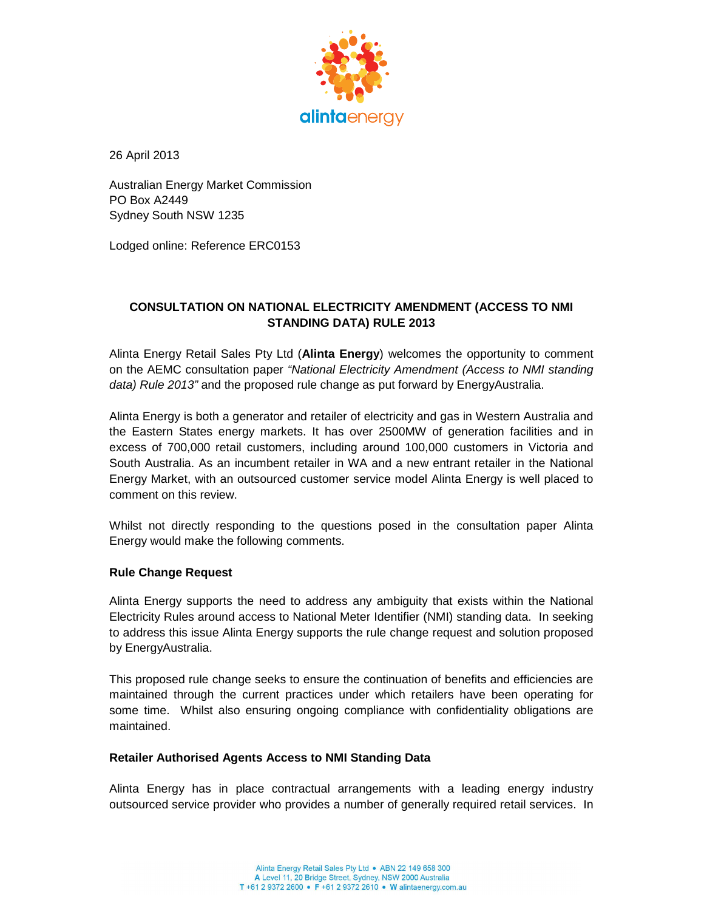

26 April 2013

Australian Energy Market Commission PO Box A2449 Sydney South NSW 1235

Lodged online: Reference ERC0153

# **CONSULTATION ON NATIONAL ELECTRICITY AMENDMENT (ACCESS TO NMI STANDING DATA) RULE 2013**

Alinta Energy Retail Sales Pty Ltd (**Alinta Energy**) welcomes the opportunity to comment on the AEMC consultation paper "National Electricity Amendment (Access to NMI standing data) Rule 2013" and the proposed rule change as put forward by EnergyAustralia.

Alinta Energy is both a generator and retailer of electricity and gas in Western Australia and the Eastern States energy markets. It has over 2500MW of generation facilities and in excess of 700,000 retail customers, including around 100,000 customers in Victoria and South Australia. As an incumbent retailer in WA and a new entrant retailer in the National Energy Market, with an outsourced customer service model Alinta Energy is well placed to comment on this review.

Whilst not directly responding to the questions posed in the consultation paper Alinta Energy would make the following comments.

## **Rule Change Request**

Alinta Energy supports the need to address any ambiguity that exists within the National Electricity Rules around access to National Meter Identifier (NMI) standing data. In seeking to address this issue Alinta Energy supports the rule change request and solution proposed by EnergyAustralia.

This proposed rule change seeks to ensure the continuation of benefits and efficiencies are maintained through the current practices under which retailers have been operating for some time. Whilst also ensuring ongoing compliance with confidentiality obligations are maintained.

### **Retailer Authorised Agents Access to NMI Standing Data**

Alinta Energy has in place contractual arrangements with a leading energy industry outsourced service provider who provides a number of generally required retail services. In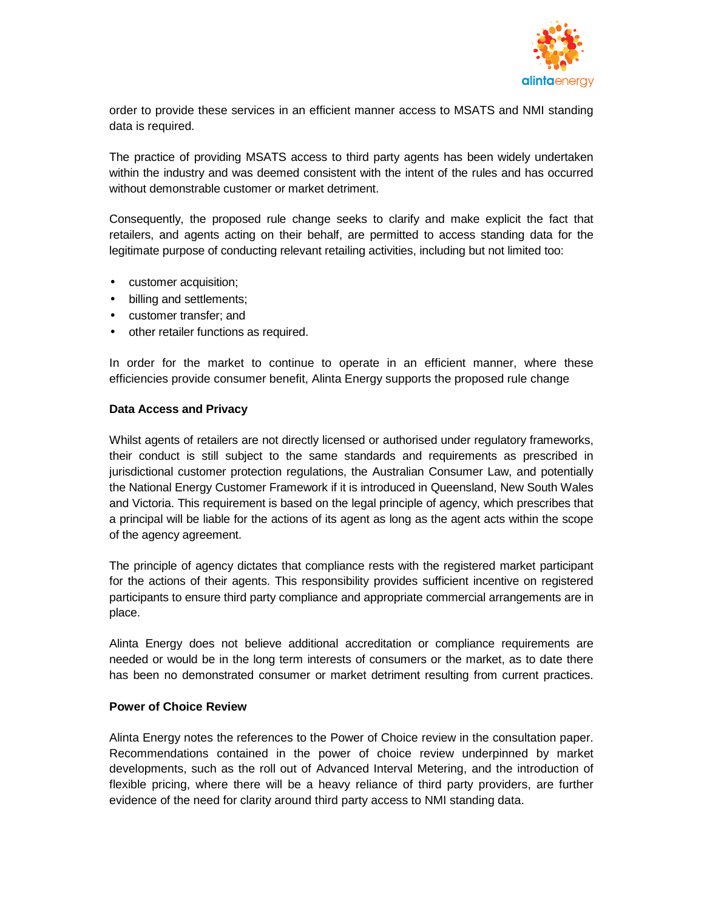

order to provide these services in an efficient manner access to MSATS and NMI standing data is required.

The practice of providing MSATS access to third party agents has been widely undertaken within the industry and was deemed consistent with the intent of the rules and has occurred without demonstrable customer or market detriment.

Consequently, the proposed rule change seeks to clarify and make explicit the fact that retailers, and agents acting on their behalf, are permitted to access standing data for the legitimate purpose of conducting relevant retailing activities, including but not limited too:

- customer acquisition;
- billing and settlements;
- customer transfer; and
- other retailer functions as required.

In order for the market to continue to operate in an efficient manner, where these efficiencies provide consumer benefit, Alinta Energy supports the proposed rule change

## **Data Access and Privacy**

Whilst agents of retailers are not directly licensed or authorised under regulatory frameworks, their conduct is still subject to the same standards and requirements as prescribed in jurisdictional customer protection regulations, the Australian Consumer Law, and potentially the National Energy Customer Framework if it is introduced in Queensland, New South Wales and Victoria. This requirement is based on the legal principle of agency, which prescribes that a principal will be liable for the actions of its agent as long as the agent acts within the scope of the agency agreement.

The principle of agency dictates that compliance rests with the registered market participant for the actions of their agents. This responsibility provides sufficient incentive on registered participants to ensure third party compliance and appropriate commercial arrangements are in place.

Alinta Energy does not believe additional accreditation or compliance requirements are needed or would be in the long term interests of consumers or the market, as to date there has been no demonstrated consumer or market detriment resulting from current practices.

### **Power of Choice Review**

Alinta Energy notes the references to the Power of Choice review in the consultation paper. Recommendations contained in the power of choice review underpinned by market developments, such as the roll out of Advanced Interval Metering, and the introduction of flexible pricing, where there will be a heavy reliance of third party providers, are further evidence of the need for clarity around third party access to NMI standing data.